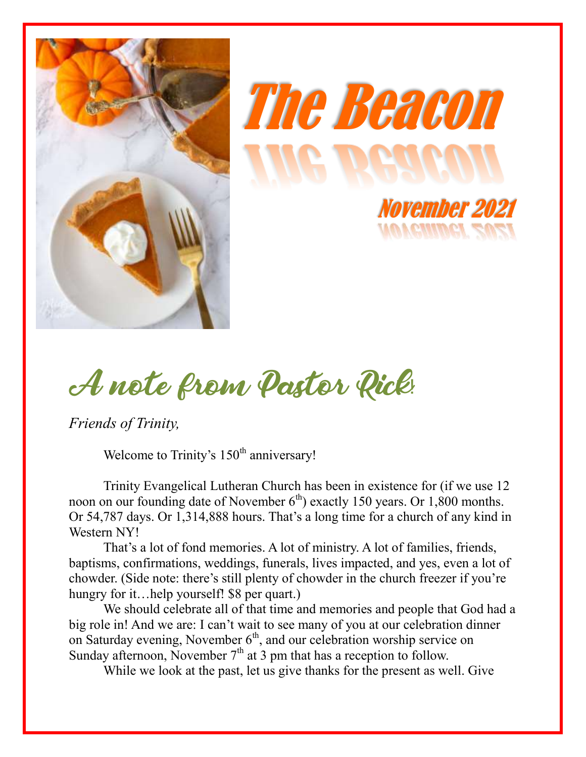





*Friends of Trinity,*

Welcome to Trinity's  $150<sup>th</sup>$  anniversary!

Trinity Evangelical Lutheran Church has been in existence for (if we use 12 noon on our founding date of November  $6<sup>th</sup>$ ) exactly 150 years. Or 1,800 months. Or 54,787 days. Or 1,314,888 hours. That's a long time for a church of any kind in Western NY!

That's a lot of fond memories. A lot of ministry. A lot of families, friends, baptisms, confirmations, weddings, funerals, lives impacted, and yes, even a lot of chowder. (Side note: there's still plenty of chowder in the church freezer if you're hungry for it...help yourself! \$8 per quart.)

We should celebrate all of that time and memories and people that God had a big role in! And we are: I can't wait to see many of you at our celebration dinner on Saturday evening, November  $6<sup>th</sup>$ , and our celebration worship service on Sunday afternoon, November  $7<sup>th</sup>$  at 3 pm that has a reception to follow.

While we look at the past, let us give thanks for the present as well. Give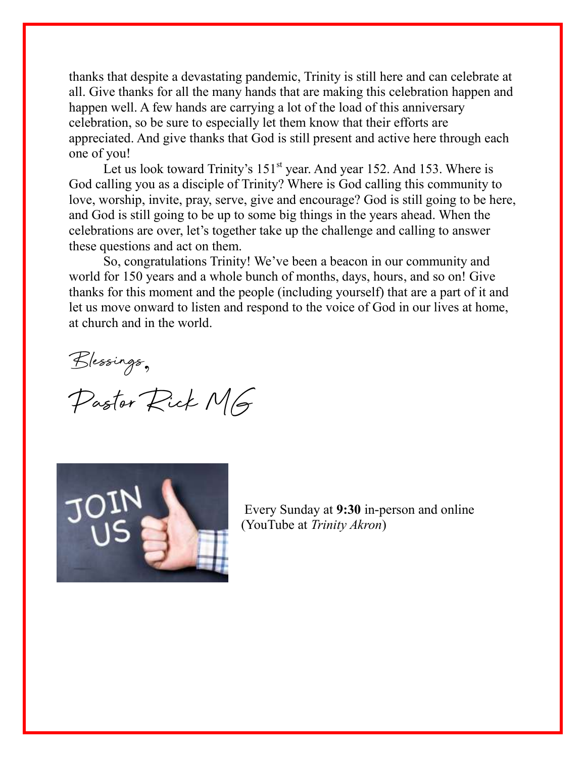thanks that despite a devastating pandemic, Trinity is still here and can celebrate at all. Give thanks for all the many hands that are making this celebration happen and happen well. A few hands are carrying a lot of the load of this anniversary celebration, so be sure to especially let them know that their efforts are appreciated. And give thanks that God is still present and active here through each one of you!

Let us look toward Trinity's  $151<sup>st</sup>$  year. And year 152. And 153. Where is God calling you as a disciple of Trinity? Where is God calling this community to love, worship, invite, pray, serve, give and encourage? God is still going to be here, and God is still going to be up to some big things in the years ahead. When the celebrations are over, let's together take up the challenge and calling to answer these questions and act on them.

So, congratulations Trinity! We've been a beacon in our community and world for 150 years and a whole bunch of months, days, hours, and so on! Give thanks for this moment and the people (including yourself) that are a part of it and let us move onward to listen and respond to the voice of God in our lives at home, at church and in the world.

Blessings,

Pastor Rick MG



Every Sunday at **9:30** in-person and online (YouTube at *Trinity Akron*)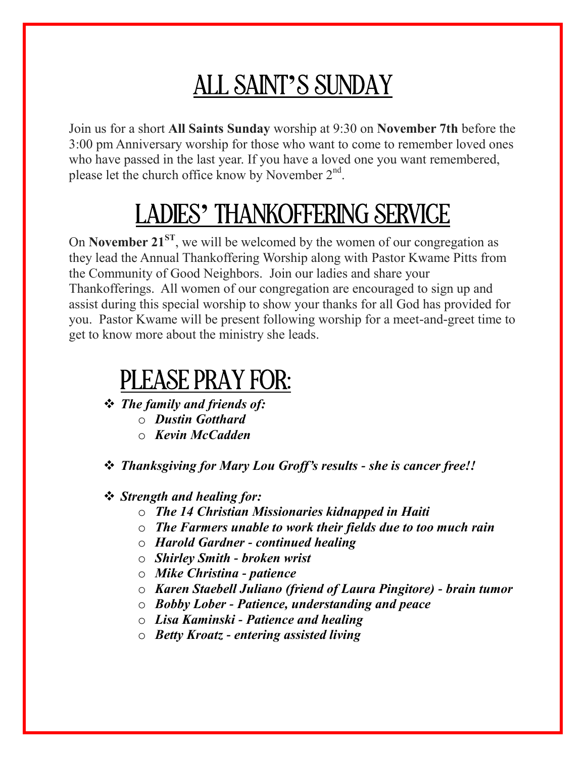## ALL SAINT**'**S SUNDAY

Join us for a short **All Saints Sunday** worship at 9:30 on **November 7th** before the 3:00 pm Anniversary worship for those who want to come to remember loved ones who have passed in the last year. If you have a loved one you want remembered, please let the church office know by November  $2<sup>nd</sup>$ .

## LADIES**'** THANKOFFERING SERVICE

On **November 21ST**, we will be welcomed by the women of our congregation as they lead the Annual Thankoffering Worship along with Pastor Kwame Pitts from the Community of Good Neighbors. Join our ladies and share your Thankofferings. All women of our congregation are encouraged to sign up and assist during this special worship to show your thanks for all God has provided for you. Pastor Kwame will be present following worship for a meet-and-greet time to get to know more about the ministry she leads.

### PLEASE PRAY FOR:

- *The family and friends of:* 
	- o *Dustin Gotthard*
	- o *Kevin McCadden*

*Thanksgiving for Mary Lou Groff's results - she is cancer free!!*

#### *Strength and healing for:*

- o *The 14 Christian Missionaries kidnapped in Haiti*
- o *The Farmers unable to work their fields due to too much rain*
- o *Harold Gardner - continued healing*
- o *Shirley Smith - broken wrist*
- o *Mike Christina - patience*
- o *Karen Staebell Juliano (friend of Laura Pingitore) - brain tumor*
- o *Bobby Lober - Patience, understanding and peace*
- o *Lisa Kaminski - Patience and healing*
- o *Betty Kroatz - entering assisted living*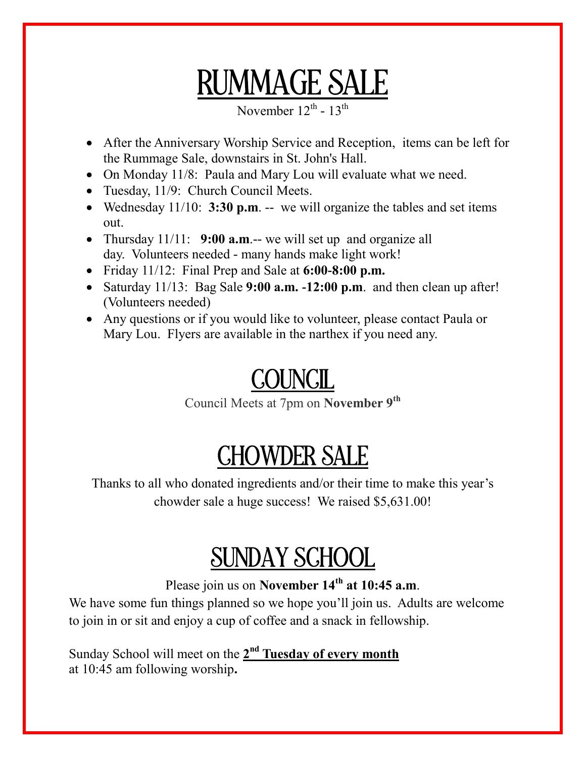# RUMMAGE SALE

November  $12^{\text{th}}$  -  $13^{\text{th}}$ 

- After the Anniversary Worship Service and Reception, items can be left for the Rummage Sale, downstairs in St. John's Hall.
- On Monday 11/8: Paula and Mary Lou will evaluate what we need.
- Tuesday, 11/9: Church Council Meets.
- Wednesday 11/10: **3:30 p.m**. -- we will organize the tables and set items out.
- Thursday 11/11: **9:00 a.m**.-- we will set up and organize all day. Volunteers needed - many hands make light work!
- Friday 11/12: Final Prep and Sale at **6:00-8:00 p.m.**
- Saturday 11/13: Bag Sale **9:00 a.m. -12:00 p.m**. and then clean up after! (Volunteers needed)
- Any questions or if you would like to volunteer, please contact Paula or Mary Lou. Flyers are available in the narthex if you need any.

## **COUNCIL**

Council Meets at 7pm on **November 9 th**

## CHOWDER SALE

Thanks to all who donated ingredients and/or their time to make this year's chowder sale a huge success! We raised \$5,631.00!

## SUNDAY SCHOOL

#### Please join us on **November 14th at 10:45 a.m**.

We have some fun things planned so we hope you'll join us. Adults are welcome to join in or sit and enjoy a cup of coffee and a snack in fellowship.

Sunday School will meet on the 2<sup>nd</sup> Tuesday of every month at 10:45 am following worship**.**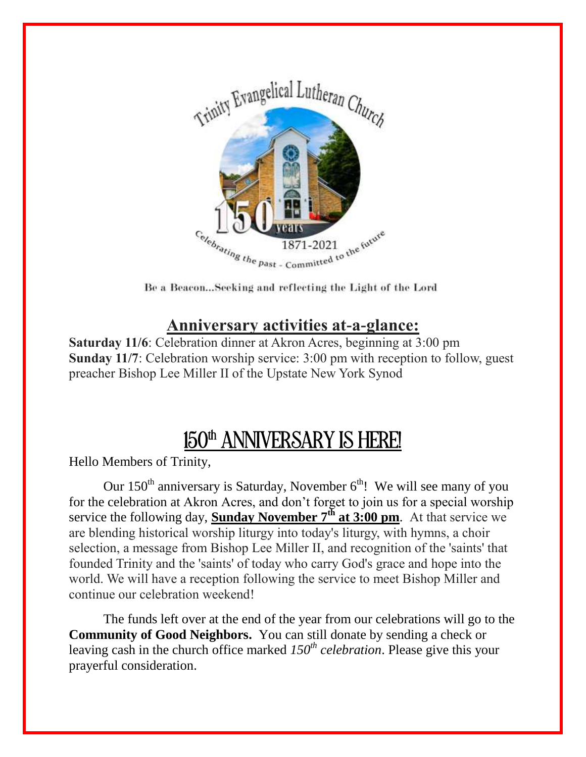

Be a Beacon...Seeking and reflecting the Light of the Lord

### **Anniversary activities at-a-glance:**

**Saturday 11/6**: Celebration dinner at Akron Acres, beginning at 3:00 pm **Sunday 11/7**: Celebration worship service: 3:00 pm with reception to follow, guest preacher Bishop Lee Miller II of the Upstate New York Synod

### 150<sup>th</sup> ANNIVERSARY IS HERE!

Hello Members of Trinity,

Our  $150<sup>th</sup>$  anniversary is Saturday, November  $6<sup>th</sup>$ ! We will see many of you for the celebration at Akron Acres, and don't forget to join us for a special worship service the following day, **Sunday November 7th at 3:00 pm**. At that service we are blending historical worship liturgy into today's liturgy, with hymns, a choir selection, a message from Bishop Lee Miller II, and recognition of the 'saints' that founded Trinity and the 'saints' of today who carry God's grace and hope into the world. We will have a reception following the service to meet Bishop Miller and continue our celebration weekend!

The funds left over at the end of the year from our celebrations will go to the **Community of Good Neighbors.** You can still donate by sending a check or leaving cash in the church office marked *150th celebration*. Please give this your prayerful consideration.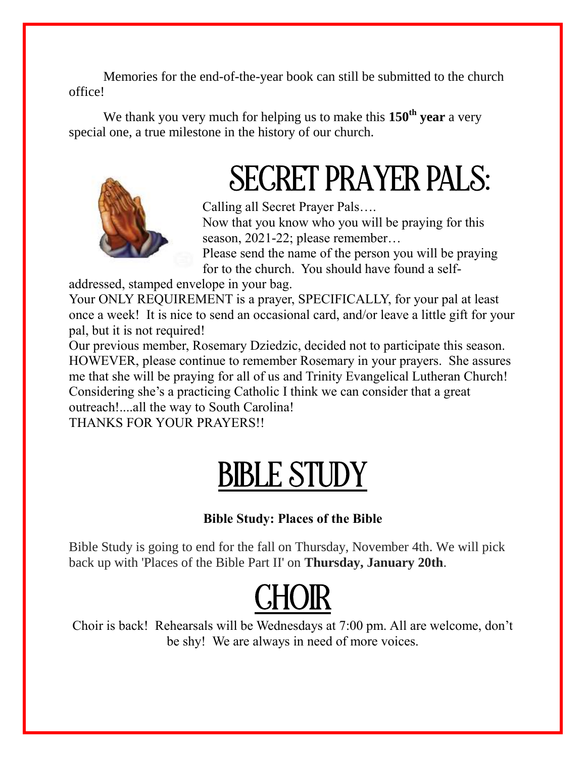Memories for the end-of-the-year book can still be submitted to the church office!

We thank you very much for helping us to make this **150th year** a very special one, a true milestone in the history of our church.



# SECRET PRAYER PALS:

Calling all Secret Prayer Pals….

Now that you know who you will be praying for this season, 2021-22; please remember…

Please send the name of the person you will be praying for to the church. You should have found a self-

addressed, stamped envelope in your bag.

Your ONLY REQUIREMENT is a prayer, SPECIFICALLY, for your pal at least once a week! It is nice to send an occasional card, and/or leave a little gift for your pal, but it is not required!

Our previous member, Rosemary Dziedzic, decided not to participate this season. HOWEVER, please continue to remember Rosemary in your prayers. She assures me that she will be praying for all of us and Trinity Evangelical Lutheran Church! Considering she's a practicing Catholic I think we can consider that a great outreach!....all the way to South Carolina!

THANKS FOR YOUR PRAYERS!!

# **BIBLE STUDY**

#### **Bible Study: Places of the Bible**

Bible Study is going to end for the fall on Thursday, November 4th. We will pick back up with 'Places of the Bible Part II' on **Thursday, January 20th**.



Choir is back! Rehearsals will be Wednesdays at 7:00 pm. All are welcome, don't be shy! We are always in need of more voices.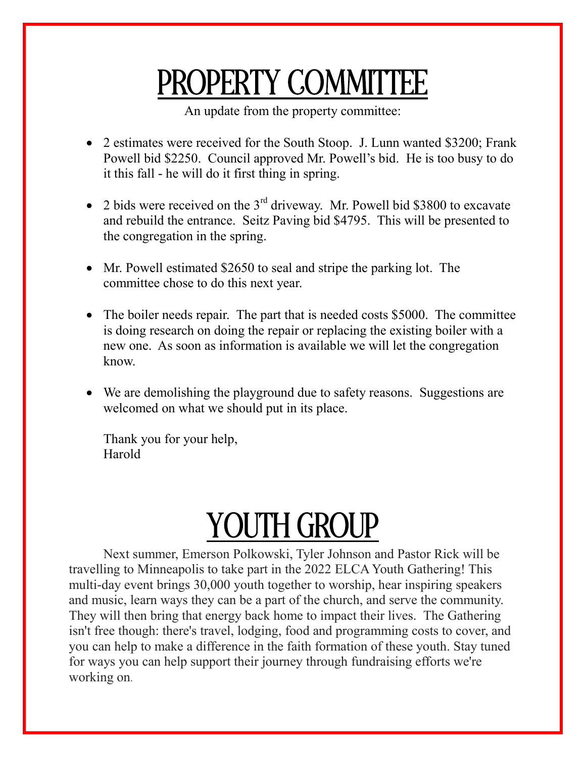# PROPERTY COMMITTEE

An update from the property committee:

- 2 estimates were received for the South Stoop. J. Lunn wanted \$3200; Frank Powell bid \$2250. Council approved Mr. Powell's bid. He is too busy to do it this fall - he will do it first thing in spring.
- 2 bids were received on the  $3<sup>rd</sup>$  driveway. Mr. Powell bid \$3800 to excavate and rebuild the entrance. Seitz Paving bid \$4795. This will be presented to the congregation in the spring.
- Mr. Powell estimated \$2650 to seal and stripe the parking lot. The committee chose to do this next year.
- The boiler needs repair. The part that is needed costs \$5000. The committee is doing research on doing the repair or replacing the existing boiler with a new one. As soon as information is available we will let the congregation know.
- We are demolishing the playground due to safety reasons. Suggestions are welcomed on what we should put in its place.

Thank you for your help, Harold

# YOUTH GROUP

Next summer, Emerson Polkowski, Tyler Johnson and Pastor Rick will be travelling to Minneapolis to take part in the 2022 ELCA Youth Gathering! This multi-day event brings 30,000 youth together to worship, hear inspiring speakers and music, learn ways they can be a part of the church, and serve the community. They will then bring that energy back home to impact their lives. The Gathering isn't free though: there's travel, lodging, food and programming costs to cover, and you can help to make a difference in the faith formation of these youth. Stay tuned for ways you can help support their journey through fundraising efforts we're working on.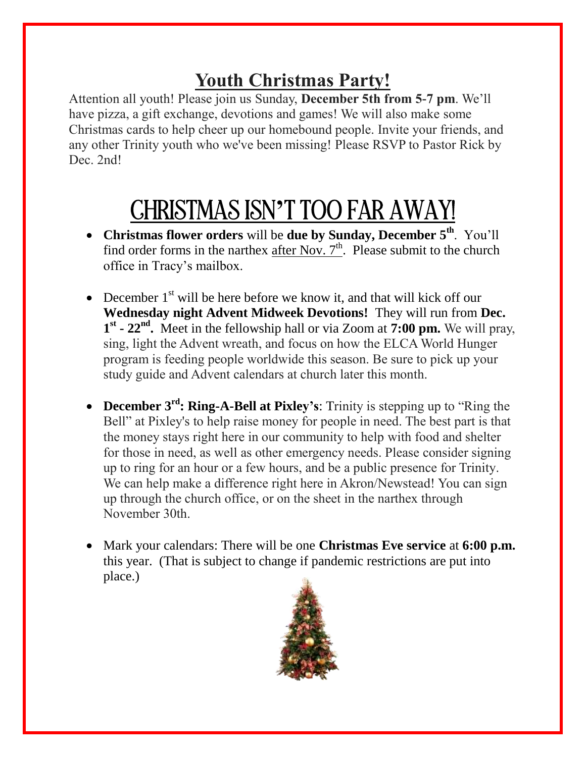### **Youth Christmas Party!**

Attention all youth! Please join us Sunday, **December 5th from 5-7 pm**. We'll have pizza, a gift exchange, devotions and games! We will also make some Christmas cards to help cheer up our homebound people. Invite your friends, and any other Trinity youth who we've been missing! Please RSVP to Pastor Rick by Dec. 2nd!

# CHRISTMAS ISN**'**T TOO FAR AWAY!

- **Christmas flower orders** will be **due by Sunday, December 5th**. You'll find order forms in the narthex after Nov.  $7<sup>th</sup>$ . Please submit to the church office in Tracy's mailbox.
- December  $1<sup>st</sup>$  will be here before we know it, and that will kick off our **Wednesday night Advent Midweek Devotions!** They will run from **Dec.**  1<sup>st</sup> - 22<sup>nd</sup>. Meet in the fellowship hall or via Zoom at 7:00 pm. We will pray, sing, light the Advent wreath, and focus on how the ELCA World Hunger program is feeding people worldwide this season. Be sure to pick up your study guide and Advent calendars at church later this month.
- **December 3<sup>rd</sup>: Ring-A-Bell at Pixley's:** Trinity is stepping up to "Ring the Bell" at Pixley's to help raise money for people in need. The best part is that the money stays right here in our community to help with food and shelter for those in need, as well as other emergency needs. Please consider signing up to ring for an hour or a few hours, and be a public presence for Trinity. We can help make a difference right here in Akron/Newstead! You can sign up through the church office, or on the sheet in the narthex through November 30th.
- Mark your calendars: There will be one **Christmas Eve service** at **6:00 p.m.**  this year. (That is subject to change if pandemic restrictions are put into place.)

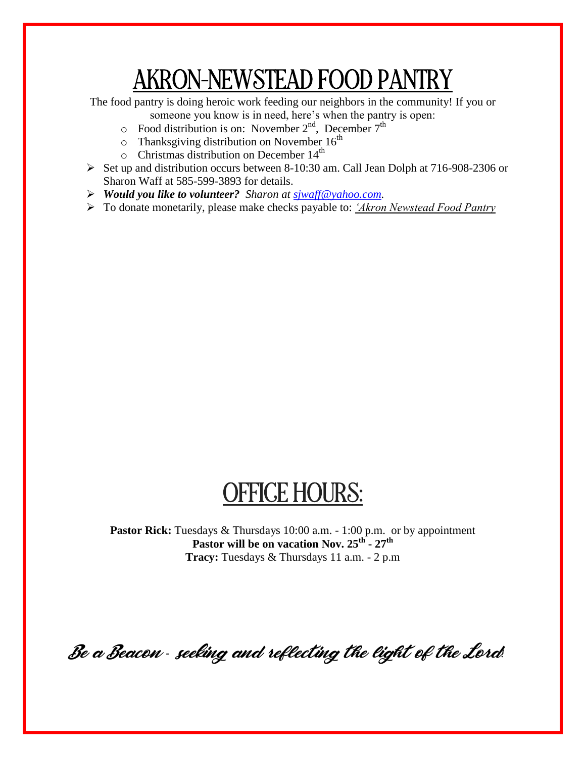## AKRON-NEWSTEAD FOOD PANTRY

The food pantry is doing heroic work feeding our neighbors in the community! If you or

- someone you know is in need, here's when the pantry is open:
- $\circ$  Food distribution is on: November 2<sup>nd</sup>, December 7<sup>th</sup>
- $\circ$  Thanksgiving distribution on November 16<sup>th</sup>
- $\circ$  Christmas distribution on December 14<sup>th</sup>
- $\triangleright$  Set up and distribution occurs between 8-10:30 am. Call Jean Dolph at 716-908-2306 or Sharon Waff at 585-599-3893 for details.
- *Would you like to volunteer? Sharon at sjwaff@yahoo.com.*
- To donate monetarily, please make checks payable to: *'Akron Newstead Food Pantry*

## OFFICE HOURS:

Pastor Rick: Tuesdays & Thursdays 10:00 a.m. - 1:00 p.m. or by appointment **Pastor will be on vacation Nov. 25th - 27th Tracy:** Tuesdays & Thursdays 11 a.m. - 2 p.m

Be a Beacon *-* seeking and reflecting the light of the Lord*!*